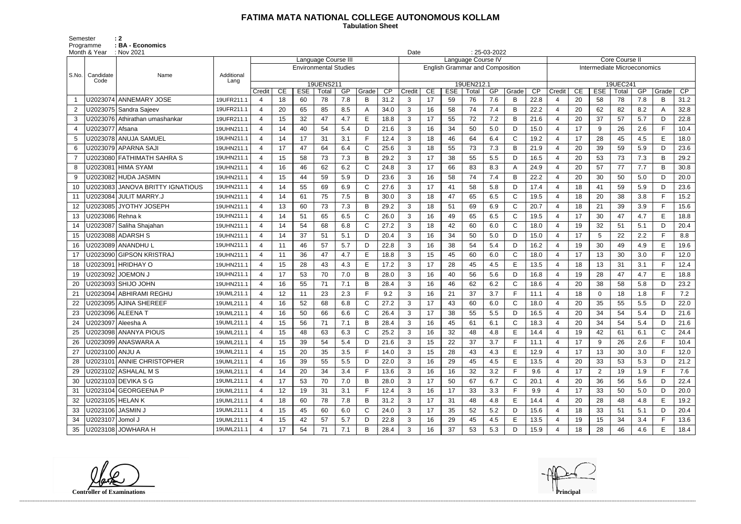## **FATIMA MATA NATIONAL COLLEGE AUTONOMOUS KOLLAM**

 **Tabulation Sheet** 

Semester : 2 Programme : **BA - Economics** 

|                | Month & Year      | : Nov 2021                       | $: 25-03-2022$<br>Date |                       |    |            |                              |     |             |      |                                                              |    |            |            |     |              |      |                             |               |                |          |     |       |      |  |
|----------------|-------------------|----------------------------------|------------------------|-----------------------|----|------------|------------------------------|-----|-------------|------|--------------------------------------------------------------|----|------------|------------|-----|--------------|------|-----------------------------|---------------|----------------|----------|-----|-------|------|--|
|                |                   |                                  |                        |                       |    |            | Language Course III          |     |             |      | Language Course IV<br><b>English Grammar and Composition</b> |    |            |            |     |              |      |                             | Core Course I |                |          |     |       |      |  |
| S.No.          | Candidate         | Name                             | Additional             |                       |    |            | <b>Environmental Studies</b> |     |             |      |                                                              |    |            |            |     |              |      | Intermediate Microeconomics |               |                |          |     |       |      |  |
|                | Code              |                                  | Lang                   |                       |    |            | 19UENS211                    |     |             |      |                                                              |    |            | 19UEN212.1 |     |              |      |                             |               |                | 19UEC241 |     |       |      |  |
|                |                   |                                  |                        | Credit                | CE | <b>ESE</b> | Total                        | GP  | Grade       | CP   | Credit                                                       | CE | <b>ESE</b> | Total      | GP  | Grade        | CP   | Credit                      | CE            | <b>ESE</b>     | Total    | GP  | Grade | CP   |  |
|                |                   | U2023074 ANNEMARY JOSE           | 19UFR211.1             | 4                     | 18 | 60         | 78                           | 7.8 | B           | 31.2 | 3                                                            | 17 | 59         | 76         | 7.6 | B            | 22.8 | 4                           | 20            | 58             | 78       | 7.8 | B     | 31.2 |  |
| $\overline{2}$ |                   | U2023075 Sandra Sajeev           | 19UFR211.1             | $\boldsymbol{\Delta}$ | 20 | 65         | 85                           | 8.5 |             | 34.0 | 3                                                            | 16 | 58         | 74         | 7.4 | B            | 22.2 | $\overline{4}$              | 20            | 62             | 82       | 8.2 | A     | 32.8 |  |
| 3              |                   | U2023076 Athirathan umashankar   | 19UFR211.1             | 4                     | 15 | 32         | 47                           | 4.7 | E           | 18.8 | $\mathbf{3}$                                                 | 17 | 55         | 72         | 7.2 | B            | 21.6 | 4                           | 20            | 37             | 57       | 5.7 | D     | 22.8 |  |
|                | U2023077   Afsana |                                  | 19UHN211.1             | $\boldsymbol{\Delta}$ | 14 | 40         | 54                           | 5.4 | D           | 21.6 | 3                                                            | 16 | 34         | 50         | 5.0 | D            | 15.0 | $\overline{4}$              | 17            | 9              | 26       | 2.6 | F.    | 10.4 |  |
| 5              |                   | U2023078 ANUJA SAMUEL            | 19UHN211.1             | $\boldsymbol{\Delta}$ | 14 | 17         | 31                           | 3.1 |             | 12.4 | 3                                                            | 18 | 46         | 64         | 6.4 | $\mathsf{C}$ | 19.2 | $\overline{4}$              | 17            | 28             | 45       | 4.5 | E     | 18.0 |  |
| 6              |                   | U2023079 APPARNA SAJI            | 19UHN211.1             | 4                     | 17 | 47         | 64                           | 6.4 | C           | 25.6 | 3                                                            | 18 | 55         | 73         | 7.3 | B            | 21.9 | $\overline{4}$              | 20            | 39             | 59       | 5.9 | D     | 23.6 |  |
|                |                   | U2023080 FATHIMATH SAHRA S       | 19UHN211.1             | $\boldsymbol{\Delta}$ | 15 | 58         | 73                           | 7.3 | B           | 29.2 | 3                                                            | 17 | 38         | 55         | 5.5 | D            | 16.5 | $\overline{4}$              | 20            | 53             | 73       | 7.3 | B     | 29.2 |  |
| 8              |                   | U2023081 HIMA SYAM               | 19UHN211.1             | $\boldsymbol{\Delta}$ | 16 | 46         | 62                           | 6.2 | C           | 24.8 | $\mathbf{3}$                                                 | 17 | 66         | 83         | 8.3 | A            | 24.9 | $\overline{4}$              | 20            | 57             | 77       | 7.7 | B     | 30.8 |  |
| 9              |                   | U2023082 HUDA JASMIN             | 19UHN211.1             | Δ                     | 15 | 44         | 59                           | 5.9 | D           | 23.6 | 3                                                            | 16 | 58         | 74         | 7.4 | B            | 22.2 | $\overline{4}$              | 20            | 30             | 50       | 5.0 | D     | 20.0 |  |
| 10             |                   | U2023083 JANOVA BRITTY IGNATIOUS | 19UHN211.1             | 4                     | 14 | 55         | 69                           | 6.9 | C           | 27.6 | 3                                                            | 17 | 41         | 58         | 5.8 | D            | 17.4 | $\overline{4}$              | 18            | 41             | 59       | 5.9 | D     | 23.6 |  |
| 11             |                   | U2023084 JULIT MARRY.J           | 19UHN211.1             | 4                     | 14 | 61         | 75                           | 7.5 | B           | 30.0 | 3                                                            | 18 | 47         | 65         | 6.5 | C            | 19.5 | $\overline{4}$              | 18            | 20             | 38       | 3.8 | F.    | 15.2 |  |
| 12             |                   | U2023085 JYOTHY JOSEPH           | 19UHN211.1             | $\boldsymbol{\Delta}$ | 13 | 60         | 73                           | 7.3 | B           | 29.2 | 3                                                            | 18 | 51         | 69         | 6.9 | $\mathsf{C}$ | 20.7 | $\overline{4}$              | 18            | 21             | 39       | 3.9 | F.    | 15.6 |  |
| 13             | U2023086 Rehna k  |                                  | 19UHN211.1             | 4                     | 14 | 51         | 65                           | 6.5 | C           | 26.0 | $\mathbf{3}$                                                 | 16 | 49         | 65         | 6.5 | $\mathsf{C}$ | 19.5 | $\overline{4}$              | 17            | 30             | 47       | 4.7 | E     | 18.8 |  |
| 14             |                   | U2023087 Saliha Shajahan         | 19UHN211.1             | $\boldsymbol{\Delta}$ | 14 | 54         | 68                           | 6.8 | C           | 27.2 | 3                                                            | 18 | 42         | 60         | 6.0 | $\mathsf{C}$ | 18.0 | 4                           | 19            | 32             | 51       | 5.1 | D     | 20.4 |  |
| 15             |                   | U2023088 ADARSH S                | 19UHN211.1             | 4                     | 14 | 37         | 51                           | 5.1 | D           | 20.4 | 3                                                            | 16 | 34         | 50         | 5.0 | D            | 15.0 | $\overline{4}$              | 17            | 5              | 22       | 2.2 | F.    | 8.8  |  |
| 16             |                   | U2023089   ANANDHU L             | 19UHN211.1             | 4                     | 11 | 46         | 57                           | 5.7 | D           | 22.8 | 3                                                            | 16 | 38         | 54         | 5.4 | D            | 16.2 | $\overline{4}$              | 19            | 30             | 49       | 4.9 | E     | 19.6 |  |
| 17             |                   | U2023090 GIPSON KRISTRAJ         | 19UHN211.1             | $\boldsymbol{\Delta}$ | 11 | 36         | 47                           | 4.7 | E           | 18.8 | 3                                                            | 15 | 45         | 60         | 6.0 | $\mathsf{C}$ | 18.0 | $\overline{4}$              | 17            | 13             | 30       | 3.0 | F.    | 12.0 |  |
| 18             |                   | U2023091 HRIDHAY O               | 19UHN211.1             | $\boldsymbol{\Delta}$ | 15 | 28         | 43                           | 4.3 | E           | 17.2 | 3                                                            | 17 | 28         | 45         | 4.5 | E            | 13.5 | $\overline{4}$              | 18            | 13             | 31       | 3.1 | F.    | 12.4 |  |
| 19             |                   | U2023092   JOEMON J              | 19UHN211.1             | Δ                     | 17 | 53         | 70                           | 7.0 | B           | 28.0 | 3                                                            | 16 | 40         | 56         | 5.6 | D            | 16.8 | 4                           | 19            | 28             | 47       | 4.7 | E     | 18.8 |  |
| 20             |                   | U2023093 SHIJO JOHN              | 19UHN211.1             | 4                     | 16 | 55         | 71                           | 7.1 | B           | 28.4 | 3                                                            | 16 | 46         | 62         | 6.2 | $\mathsf{C}$ | 18.6 | 4                           | 20            | 38             | 58       | 5.8 | D     | 23.2 |  |
| 21             |                   | U2023094 ABHIRAMI REGHU          | 19UML211.1             | 4                     | 12 | 11         | 23                           | 2.3 |             | 9.2  | 3                                                            | 16 | 21         | 37         | 3.7 | F            | 11.1 | $\overline{4}$              | 18            | $\mathbf 0$    | 18       | 1.8 | F.    | 7.2  |  |
|                |                   | U2023095 AJINA SHEREEF           | 19UML211.1             | 4                     | 16 | 52         | 68                           | 6.8 | $\mathsf C$ | 27.2 | 3                                                            | 17 | 43         | 60         | 6.0 | $\mathsf{C}$ | 18.0 | 4                           | 20            | 35             | 55       | 5.5 | D     | 22.0 |  |
| 23             |                   | U2023096   ALEENA T              | 19UML211.1             | 4                     | 16 | 50         | 66                           | 6.6 | C           | 26.4 | $\mathbf{3}$                                                 | 17 | 38         | 55         | 5.5 | D            | 16.5 | $\overline{4}$              | 20            | 34             | 54       | 5.4 | D     | 21.6 |  |
| 24             |                   | U2023097 Aleesha A               | 19UML211.1             |                       | 15 | 56         | 71                           | 7.1 | B           | 28.4 | 3                                                            | 16 | 45         | 61         | 6.1 | $\mathsf{C}$ | 18.3 | $\overline{4}$              | 20            | 34             | 54       | 5.4 | D     | 21.6 |  |
|                |                   | U2023098 ANANYA PIOUS            | 19UML211.1             | 4                     | 15 | 48         | 63                           | 6.3 | C           | 25.2 | 3                                                            | 16 | 32         | 48         | 4.8 | Е            | 14.4 | 4                           | 19            | 42             | 61       | 6.1 | C     | 24.4 |  |
|                |                   | U2023099 ANASWARA A              | 19UML211.1             | 4                     | 15 | 39         | 54                           | 5.4 | D.          | 21.6 | 3                                                            | 15 | 22         | 37         | 3.7 | F            | 11.1 | 4                           | 17            | 9              | 26       | 2.6 | F.    | 10.4 |  |
| 27             | U2023100   ANJU A |                                  | 19UML211.1             | $\overline{4}$        | 15 | 20         | 35                           | 3.5 |             | 14.0 | $\mathbf{3}$                                                 | 15 | 28         | 43         | 4.3 | Е            | 12.9 | 4                           | 17            | 13             | 30       | 3.0 | F.    | 12.0 |  |
|                |                   | U2023101 ANNIE CHRISTOPHER       | 19UML211.1             | 4                     | 16 | 39         | 55                           | 5.5 | D           | 22.0 | 3 <sup>1</sup>                                               | 16 | 29         | 45         | 4.5 | Е            | 13.5 | $\overline{4}$              | 20            | 33             | 53       | 5.3 | D     | 21.2 |  |
| 29             |                   | U2023102 ASHALAL M S             | 19UML211.1             | 4                     | 14 | 20         | 34                           | 3.4 |             | 13.6 | 3                                                            | 16 | 16         | 32         | 3.2 | F            | 9.6  | $\overline{4}$              | 17            | $\overline{2}$ | 19       | 1.9 | F     | 7.6  |  |
| 30             |                   | U2023103 DEVIKA S G              | 19UML211.1             | 4                     | 17 | 53         | 70                           | 7.0 | B           | 28.0 | $\mathbf{3}$                                                 | 17 | 50         | 67         | 6.7 | C            | 20.1 | 4                           | 20            | 36             | 56       | 5.6 | D     | 22.4 |  |
|                |                   | U2023104 GEORGEENA P             | 19UML211.1             | 4                     | 12 | 19         | 31                           | 3.1 |             | 12.4 | 3                                                            | 16 | 17         | 33         | 3.3 | F            | 9.9  | 4                           | 17            | 33             | 50       | 5.0 | D     | 20.0 |  |
| 32             | U2023105 HELAN K  |                                  | 19UML211.1             | 4                     | 18 | 60         | 78                           | 7.8 | B           | 31.2 | $\mathbf{3}$                                                 | 17 | 31         | 48         | 4.8 | Е            | 14.4 | $\overline{4}$              | 20            | 28             | 48       | 4.8 | Е     | 19.2 |  |
| 33             | U2023106 JASMIN J |                                  | 19UML211.1             | 4                     | 15 | 45         | 60                           | 6.0 | C           | 24.0 | 3 <sup>1</sup>                                               | 17 | 35         | 52         | 5.2 | D            | 15.6 | 4                           | 18            | 33             | 51       | 5.1 | D     | 20.4 |  |
| 34             | U2023107 Jomol J  |                                  | 19UML211.1             |                       | 15 | 42         | 57                           | 5.7 | D           | 22.8 | 3                                                            | 16 | 29         | 45         | 4.5 | E            | 13.5 | 4                           | 19            | 15             | 34       | 3.4 | F.    | 13.6 |  |
| 35             |                   | U2023108 JOWHARA H               | 19UML211.1             |                       | 17 | 54         | 71                           | 7.1 | B           | 28.4 | 3 <sup>1</sup>                                               | 16 | 37         | 53         | 5.3 | D            | 15.9 | 4                           | 18            | 28             | 46       | 4.6 | E.    | 18.4 |  |

**Controller of Examinations Principal**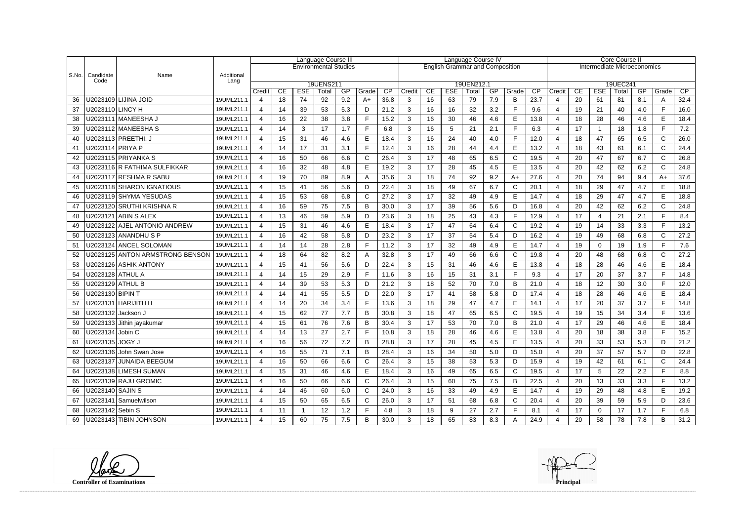|               |                         |                                 |            |                |    | Language Course III |                              |     |       | Language Course IV |                                        |    |            |            |     |              | <b>Core Course II</b> |                             |    |                |          |     |              |      |
|---------------|-------------------------|---------------------------------|------------|----------------|----|---------------------|------------------------------|-----|-------|--------------------|----------------------------------------|----|------------|------------|-----|--------------|-----------------------|-----------------------------|----|----------------|----------|-----|--------------|------|
|               |                         |                                 |            |                |    |                     | <b>Environmental Studies</b> |     |       |                    | <b>English Grammar and Composition</b> |    |            |            |     |              |                       | Intermediate Microeconomics |    |                |          |     |              |      |
| $ $ S.No. $ $ | Candidate               | Name                            | Additional |                |    |                     |                              |     |       |                    |                                        |    |            |            |     |              |                       |                             |    |                |          |     |              |      |
|               | Code                    |                                 | Lang       |                |    |                     | 19UENS211                    |     |       |                    |                                        |    |            | 19UEN212.1 |     |              |                       |                             |    |                | 19UEC241 |     |              |      |
|               |                         |                                 |            | Credit         | CE | <b>ESE</b>          | Total                        | GP  | Grade | $\overline{CP}$    | Credit                                 | CE | <b>ESE</b> | Total      | GP  | Grade        | CP                    | Credit                      | CE | <b>ESE</b>     | Total    | GP  | Grade        | CP   |
| 36            |                         | U2023109 LIJINA JOID            | 19UML211.1 | $\overline{4}$ | 18 | 74                  | 92                           | 9.2 | $A+$  | 36.8               | 3                                      | 16 | 63         | 79         | 7.9 | B            | 23.7                  | 4                           | 20 | 61             | 81       | 8.1 | A            | 32.4 |
| 37            | U2023110 LINCY H        |                                 | 19UML211.1 | $\overline{4}$ | 14 | 39                  | 53                           | 5.3 | D     | 21.2               | 3                                      | 16 | 16         | 32         | 3.2 | F            | 9.6                   | $\overline{4}$              | 19 | 21             | 40       | 4.0 | F.           | 16.0 |
| 38            |                         | U2023111   MANEESHA J           | 19UML211.1 | 4              | 16 | 22                  | 38                           | 3.8 |       | 15.2               | 3                                      | 16 | 30         | 46         | 4.6 | Е            | 13.8                  | 4                           | 18 | 28             | 46       | 4.6 | E.           | 18.4 |
| 39            |                         | U2023112 MANEESHA S             | 19UML211.1 | $\overline{4}$ | 14 | 3                   | 17                           | 1.7 | Е     | 6.8                | 3                                      | 16 | 5          | 21         | 2.1 | F            | 6.3                   | $\overline{4}$              | 17 | $\overline{1}$ | 18       | 1.8 | E.           | 7.2  |
| 40            |                         | U2023113 PREETHI. J             | 19UML211.1 | $\overline{4}$ | 15 | 31                  | 46                           | 4.6 | Е     | 18.4               | 3                                      | 16 | 24         | 40         | 4.0 | F            | 12.0                  |                             | 18 | 47             | 65       | 6.5 | $\mathsf{C}$ | 26.0 |
| 41            | U2023114 PRIYA P        |                                 | 19UML211.1 | $\overline{4}$ | 14 | 17                  | 31                           | 3.1 | Е     | 12.4               | 3                                      | 16 | 28         | 44         | 4.4 | E            | 13.2                  | 4                           | 18 | 43             | 61       | 6.1 | C            | 24.4 |
| 42            |                         | U2023115 PRIYANKA S             | 19UML211.1 | 4              | 16 | 50                  | 66                           | 6.6 | C     | 26.4               | 3                                      | 17 | 48         | 65         | 6.5 | $\mathsf{C}$ | 19.5                  | $\boldsymbol{\Delta}$       | 20 | 47             | 67       | 6.7 | C            | 26.8 |
| 43            |                         | U2023116 R FATHIMA SULFIKKAR    | 19UML211.1 | 4              | 16 | 32                  | 48                           | 4.8 | E     | 19.2               | 3                                      | 17 | 28         | 45         | 4.5 | E            | 13.5                  |                             | 20 | 42             | 62       | 6.2 | C            | 24.8 |
| 44            |                         | U2023117 RESHMA R SABU          | 19UML211.1 | 4              | 19 | 70                  | 89                           | 8.9 | Α     | 35.6               | 3                                      | 18 | 74         | 92         | 9.2 | $A+$         | 27.6                  | $\overline{4}$              | 20 | 74             | 94       | 9.4 | A+           | 37.6 |
| 45            |                         | U2023118 SHARON IGNATIOUS       | 19UML211.1 | $\overline{4}$ | 15 | 41                  | 56                           | 5.6 | D     | 22.4               | 3                                      | 18 | 49         | 67         | 6.7 | $\mathsf{C}$ | 20.1                  | $\overline{4}$              | 18 | 29             | 47       | 4.7 | E.           | 18.8 |
| 46            |                         | U2023119 SHYMA YESUDAS          | 19UML211.1 | $\overline{4}$ | 15 | 53                  | 68                           | 6.8 | C     | 27.2               | 3                                      | 17 | 32         | 49         | 4.9 | E            | 14.7                  | $\overline{4}$              | 18 | 29             | 47       | 4.7 | E            | 18.8 |
| 47            |                         | U2023120 SRUTHI KRISHNA R       | 19UML211.1 | 4              | 16 | 59                  | 75                           | 7.5 | B     | 30.0               | 3                                      | 17 | 39         | 56         | 5.6 | D            | 16.8                  | 4                           | 20 | 42             | 62       | 6.2 | $\mathsf{C}$ | 24.8 |
| 48            |                         | U2023121 ABIN S ALEX            | 19UML211.1 | 4              | 13 | 46                  | 59                           | 5.9 | D     | 23.6               | 3                                      | 18 | 25         | 43         | 4.3 | F            | 12.9                  | 4                           | 17 | 4              | 21       | 2.1 | Е            | 8.4  |
| 49            |                         | U2023122 AJEL ANTONIO ANDREW    | 19UML211.1 | $\overline{4}$ | 15 | 31                  | 46                           | 4.6 | E     | 18.4               | 3                                      | 17 | 47         | 64         | 6.4 | $\mathsf C$  | 19.2                  | $\overline{4}$              | 19 | 14             | 33       | 3.3 | E.           | 13.2 |
| 50            |                         | U2023123 ANANDHU S P            | 19UML211.1 | 4              | 16 | 42                  | 58                           | 5.8 | D     | 23.2               | 3                                      | 17 | 37         | 54         | 5.4 | D            | 16.2                  | $\overline{4}$              | 19 | 49             | 68       | 6.8 | $\mathsf{C}$ | 27.2 |
| 51            |                         | U2023124 ANCEL SOLOMAN          | 19UML211.1 | 4              | 14 | 14                  | 28                           | 2.8 | Е     | 11.2               | 3                                      | 17 | 32         | 49         | 4.9 | E            | 14.7                  | $\overline{4}$              | 19 | 0              | 19       | 1.9 | E.           | 7.6  |
| 52            |                         | U2023125 ANTON ARMSTRONG BENSON | 19UML211.1 | 4              | 18 | 64                  | 82                           | 8.2 |       | 32.8               | 3                                      | 17 | 49         | 66         | 6.6 | $\mathsf{C}$ | 19.8                  | 4                           | 20 | 48             | 68       | 6.8 | C            | 27.2 |
| 53            |                         | U2023126 ASHIK ANTONY           | 19UML211.1 | 4              | 15 | 41                  | 56                           | 5.6 | D     | 22.4               | 3                                      | 15 | 31         | 46         | 4.6 | E            | 13.8                  |                             | 18 | 28             | 46       | 4.6 | E            | 18.4 |
| 54            | U2023128 ATHUL A        |                                 | 19UML211.1 | 4              | 14 | 15                  | 29                           | 2.9 | Е     | 11.6               | 3                                      | 16 | 15         | 31         | 3.1 | F            | 9.3                   | $\overline{4}$              | 17 | 20             | 37       | 3.7 | E.           | 14.8 |
| 55            | U2023129 ATHUL B        |                                 | 19UML211.1 | 4              | 14 | 39                  | 53                           | 5.3 | D     | 21.2               | 3                                      | 18 | 52         | 70         | 7.0 | B            | 21.0                  | $\overline{4}$              | 18 | 12             | 30       | 3.0 | F.           | 12.0 |
| 56            | U2023130 BIPIN T        |                                 | 19UML211.1 | 4              | 14 | 41                  | 55                           | 5.5 | D     | 22.0               | 3                                      | 17 | 41         | 58         | 5.8 | D            | 17.4                  | $\overline{4}$              | 18 | 28             | 46       | 4.6 | E            | 18.4 |
| 57            |                         | U2023131 HARIJITH H             | 19UML211.1 | 4              | 14 | 20                  | 34                           | 3.4 | Е     | 13.6               | 3                                      | 18 | 29         | 47         | 4.7 | E            | 14.1                  | $\overline{4}$              | 17 | 20             | 37       | 3.7 | F.           | 14.8 |
| 58            | U2023132 Jackson J      |                                 | 19UML211.1 | 4              | 15 | 62                  | 77                           | 7.7 | B     | 30.8               | 3                                      | 18 | 47         | 65         | 6.5 | $\mathsf{C}$ | 19.5                  |                             | 19 | 15             | 34       | 3.4 | F            | 13.6 |
| 59            |                         | U2023133 Jithin jayakumar       | 19UML211.1 | 4              | 15 | 61                  | 76                           | 7.6 | B     | 30.4               | 3                                      | 17 | 53         | 70         | 7.0 | B            | 21.0                  | $\boldsymbol{\Delta}$       | 17 | 29             | 46       | 4.6 | E            | 18.4 |
|               | 60   U2023134   Jobin C |                                 | 19UML211.1 | 4              | 14 | 13                  | 27                           | 2.7 | Е     | 10.8               | ર                                      | 18 | 28         | 46         | 4.6 | E            | 13.8                  | $\boldsymbol{\Lambda}$      | 20 | 18             | 38       | 3.8 | Е            | 15.2 |
| 61            | U2023135 JOGY J         |                                 | 19UML211.1 | $\overline{4}$ | 16 | 56                  | 72                           | 7.2 | B     | 28.8               | 3                                      | 17 | 28         | 45         | 4.5 | E            | 13.5                  | 4                           | 20 | 33             | 53       | 5.3 | D            | 21.2 |
| 62            |                         | U2023136 John Swan Jose         | 19UML211.1 | 4              | 16 | 55                  | 71                           | 7.1 | B     | 28.4               | 3                                      | 16 | 34         | 50         | 5.0 | D            | 15.0                  | 4                           | 20 | 37             | 57       | 5.7 | D            | 22.8 |
| 63            |                         | U2023137 JUNAIDA BEEGUM         | 19UML211.1 | 4              | 16 | 50                  | 66                           | 6.6 |       | 26.4               | 3                                      | 15 | 38         | 53         | 5.3 | D            | 15.9                  | 4                           | 19 | 42             | 61       | 6.1 | C.           | 24.4 |
| 64            |                         | U2023138 LIMESH SUMAN           | 19UML211.1 | $\overline{4}$ | 15 | 31                  | 46                           | 4.6 | E     | 18.4               | 3                                      | 16 | 49         | 65         | 6.5 | $\mathsf C$  | 19.5                  | 4                           | 17 | $\overline{5}$ | 22       | 2.2 |              | 8.8  |
| 65            |                         | U2023139 RAJU GROMIC            | 19UML211.1 | 4              | 16 | 50                  | 66                           | 6.6 | C     | 26.4               | 3                                      | 15 | 60         | 75         | 7.5 | B            | 22.5                  | 4                           | 20 | 13             | 33       | 3.3 | F.           | 13.2 |
| 66            | U2023140 SAJIN S        |                                 | 19UML211.1 | 4              | 14 | 46                  | 60                           | 6.0 | C     | 24.0               | 3                                      | 16 | 33         | 49         | 4.9 | E            | 14.7                  | 4                           | 19 | 29             | 48       | 4.8 | E.           | 19.2 |
| 67            |                         | U2023141 Samuelwilson           | 19UML211.1 | 4              | 15 | 50                  | 65                           | 6.5 | C     | 26.0               | 3                                      | 17 | 51         | 68         | 6.8 | $\mathsf{C}$ | 20.4                  | 4                           | 20 | 39             | 59       | 5.9 | D            | 23.6 |
| 68            | U2023142 Sebin S        |                                 | 19UML211.1 | 4              | 11 |                     | 12                           | 1.2 |       | 4.8                | 3                                      | 18 | 9          | 27         | 2.7 | F            | 8.1                   | 4                           | 17 | 0              | 17       | 1.7 |              | 6.8  |
|               |                         | 69   U2023143   TIBIN JOHNSON   | 19UML211.1 |                | 15 | 60                  | 75                           | 7.5 | B     | 30.0               |                                        | 18 | 65         | 83         | 8.3 |              | 24.9                  |                             | 20 | 58             | 78       | 7.8 | B            | 31.2 |

**Controller of Examinations Principal**

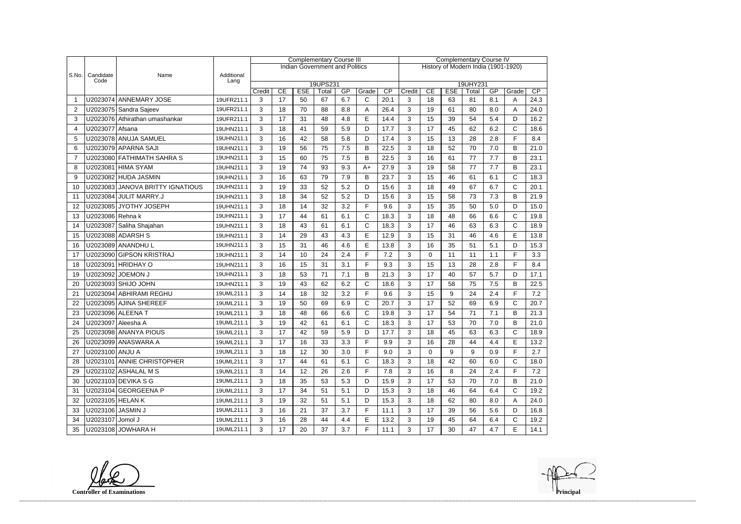|                |                   |                                  |                    |        |                |            | <b>Complementary Course III</b>       |                 |              |                                     | <b>Complementary Course IV</b> |             |            |          |     |              |      |  |
|----------------|-------------------|----------------------------------|--------------------|--------|----------------|------------|---------------------------------------|-----------------|--------------|-------------------------------------|--------------------------------|-------------|------------|----------|-----|--------------|------|--|
|                |                   |                                  |                    |        |                |            | <b>Indian Government and Politics</b> |                 |              | History of Modern India (1901-1920) |                                |             |            |          |     |              |      |  |
| S.No.          | Candidate<br>Code | Name                             | Additional<br>Lang |        |                |            |                                       |                 |              |                                     |                                |             |            |          |     |              |      |  |
|                |                   |                                  |                    |        |                |            | 19UPS231                              |                 |              |                                     |                                |             |            | 19UHY231 |     |              |      |  |
|                |                   |                                  |                    | Credit | CE<br>17       | <b>ESE</b> | Total                                 | GP<br>6.7       | Grade        | CP                                  | Credit                         | CE          | <b>ESE</b> | Total    | GP  | Grade        | CP   |  |
| -1             |                   | U2023074 ANNEMARY JOSE           | 19UFR211.1         | 3      |                | 50         | 67                                    |                 | $\mathsf{C}$ | 20.1                                | 3                              | 18          | 63         | 81       | 8.1 | A            | 24.3 |  |
| $\overline{2}$ |                   | U2023075 Sandra Sajeev           | 19UFR211.1         | 3      | 18             | 70         | 88                                    | 8.8             | A            | 26.4                                | 3                              | 19          | 61         | 80       | 8.0 | A            | 24.0 |  |
| 3              |                   | U2023076 Athirathan umashankar   | 19UFR211.1         | 3      | 17             | 31         | 48                                    | 4.8             | E            | 14.4                                | 3                              | 15          | 39         | 54       | 5.4 | D            | 16.2 |  |
| $\overline{4}$ | U2023077 Afsana   |                                  | 19UHN211.1         | 3      | 18             | 41         | 59                                    | 5.9             | D            | 17.7                                | 3                              | 17          | 45         | 62       | 6.2 | $\mathsf{C}$ | 18.6 |  |
| 5              |                   | U2023078 ANUJA SAMUEL            | 19UHN211.1         | 3      | 16             | 42         | 58                                    | 5.8             | D            | 17.4                                | 3                              | 15          | 13         | 28       | 2.8 | F            | 8.4  |  |
| 6              |                   | U2023079 APARNA SAJI             | 19UHN211.1         | 3      | 19             | 56         | 75                                    | 7.5             | B            | 22.5                                | 3                              | 18          | 52         | 70       | 7.0 | B            | 21.0 |  |
| $\overline{7}$ |                   | U2023080 FATHIMATH SAHRA S       | 19UHN211.1         | 3      | 15             | 60         | 75                                    | 7.5             | B            | 22.5                                | 3                              | 16          | 61         | 77       | 7.7 | B            | 23.1 |  |
| 8              |                   | U2023081 HIMA SYAM               | 19UHN211.1         | 3      | 19             | 74         | 93                                    | 9.3             | $A+$         | 27.9                                | 3                              | 19          | 58         | 77       | 7.7 | B            | 23.1 |  |
| 9              |                   | U2023082 HUDA JASMIN             | 19UHN211.1         | 3      | 16             | 63         | 79                                    | 7.9             | B            | 23.7                                | 3                              | 15          | 46         | 61       | 6.1 | $\mathsf{C}$ | 18.3 |  |
| 10             |                   | U2023083 JANOVA BRITTY IGNATIOUS | 19UHN211.1         | 3      | 19             | 33         | 52                                    | 5.2             | D            | 15.6                                | 3                              | 18          | 49         | 67       | 6.7 | C            | 20.1 |  |
| 11             |                   | U2023084 JULIT MARRY.J           | 19UHN211.1         | 3      | 18             | 34         | 52                                    | 5.2             | D            | 15.6                                | 3                              | 15          | 58         | 73       | 7.3 | B            | 21.9 |  |
| 12             |                   | U2023085 JYOTHY JOSEPH           | 19UHN211.1         | 3      | 18             | 14         | 32                                    | 3.2             | F            | 9.6                                 | 3                              | 15          | 35         | 50       | 5.0 | D            | 15.0 |  |
| 13             | U2023086 Rehna k  |                                  | 19UHN211.1         | 3      | 17             | 44         | 61                                    | 6.1             | $\mathsf{C}$ | 18.3                                | 3                              | 18          | 48         | 66       | 6.6 | C            | 19.8 |  |
| 14             |                   | U2023087 Saliha Shajahan         | 19UHN211.1         | 3      | 18             | 43         | 61                                    | 6.1             | $\mathsf{C}$ | 18.3                                | 3                              | 17          | 46         | 63       | 6.3 | $\mathsf{C}$ | 18.9 |  |
| 15             |                   | U2023088 ADARSH S                | 19UHN211.1         | 3      | 14             | 29         | 43                                    | 4.3             | E            | 12.9                                | 3                              | 15          | 31         | 46       | 4.6 | E            | 13.8 |  |
| 16             |                   | U2023089 ANANDHU L               | 19UHN211.1         | 3      | 15             | 31         | 46                                    | 4.6             | E            | 13.8                                | 3                              | 16          | 35         | 51       | 5.1 | D            | 15.3 |  |
| 17             |                   | U2023090 GIPSON KRISTRAJ         | 19UHN211.1         | 3      | 14             | 10         | 24                                    | 2.4             | F            | 7.2                                 | 3                              | $\mathbf 0$ | 11         | 11       | 1.1 | F            | 3.3  |  |
| 18             |                   | U2023091 HRIDHAY O               | 19UHN211.1         | 3      | 16             | 15         | 31                                    | 3.1             | F            | 9.3                                 | 3                              | 15          | 13         | 28       | 2.8 | F            | 8.4  |  |
| 19             |                   | U2023092 JOEMON J                | 19UHN211.1         | 3      | 18             | 53         | 71                                    | 7.1             | B            | 21.3                                | 3                              | 17          | 40         | 57       | 5.7 | D            | 17.1 |  |
| 20             |                   | U2023093 SHIJO JOHN              | 19UHN211.1         | 3      | 19             | 43         | 62                                    | 6.2             | $\mathsf C$  | 18.6                                | 3                              | 17          | 58         | 75       | 7.5 | B            | 22.5 |  |
| 21             |                   | U2023094 ABHIRAMI REGHU          | 19UML211.1         | 3      | 14             | 18         | 32                                    | 3.2             | F            | 9.6                                 | 3                              | 15          | 9          | 24       | 2.4 | F            | 7.2  |  |
| 22             |                   | U2023095 AJINA SHEREEF           | 19UML211.1         | 3      | 19             | 50         | 69                                    | 6.9             | $\mathsf{C}$ | 20.7                                | 3                              | 17          | 52         | 69       | 6.9 | C            | 20.7 |  |
| 23             |                   | U2023096 ALEENA T                | 19UML211.1         | 3      | 18             | 48         | 66                                    | 6.6             | $\mathsf{C}$ | 19.8                                | 3                              | 17          | 54         | 71       | 7.1 | B            | 21.3 |  |
| 24             |                   | U2023097 Aleesha A               | 19UML211.1         | 3      | 19             | 42         | 61                                    | 6.1             | $\mathsf{C}$ | 18.3                                | 3                              | 17          | 53         | 70       | 7.0 | B            | 21.0 |  |
| 25             |                   | U2023098 ANANYA PIOUS            | 19UML211.1         | 3      | 17<br>$\cdots$ | 42         | 59                                    | 59<br>$\ddotsc$ | D            | 17.7                                | 3                              | 18          | 45         | 63       | 6.3 | C            | 18.9 |  |
| 26             |                   | U2023099 ANASWARA A              | 19UML211.1         | 3      | 17             | 16         | 33                                    | 3.3             | F.           | 9.9                                 | 3                              | 16          | 28         | 44       | 4.4 | E.           | 13.2 |  |
| 27             | U2023100 ANJU A   |                                  | 19UML211.1         | 3      | 18             | 12         | 30                                    | 3.0             | F.           | 9.0                                 | 3                              | $\mathbf 0$ | 9          | 9        | 0.9 | F            | 2.7  |  |
| 28             |                   | U2023101 ANNIE CHRISTOPHER       | 19UML211.1         | 3      | 17             | 44         | 61                                    | 6.1             | $\mathsf{C}$ | 18.3                                | 3                              | 18          | 42         | 60       | 6.0 | С            | 18.0 |  |
| 29             |                   | U2023102 ASHALAL M S             | 19UML211.1         | 3      | 14             | 12         | 26                                    | 2.6             | F            | 7.8                                 | 3                              | 16          | 8          | 24       | 2.4 | F            | 7.2  |  |
| 30             |                   | U2023103 DEVIKA S G              | 19UML211.1         | 3      | 18             | 35         | 53                                    | 5.3             | D            | 15.9                                | 3                              | 17          | 53         | 70       | 7.0 | B            | 21.0 |  |
| 31             |                   | U2023104 GEORGEENA P             | 19UML211.1         | 3      | 17             | 34         | 51                                    | 5.1             | D            | 15.3                                | 3                              | 18          | 46         | 64       | 6.4 | C            | 19.2 |  |
| 32             | U2023105 HELAN K  |                                  | 19UML211.1         | 3      | 19             | 32         | 51                                    | 5.1             | D            | 15.3                                | 3                              | 18          | 62         | 80       | 8.0 | Α            | 24.0 |  |
| 33             |                   | U2023106 JASMIN J                | 19UML211.1         | 3      | 16             | 21         | 37                                    | 3.7             | F            | 11.1                                | 3                              | 17          | 39         | 56       | 5.6 | D            | 16.8 |  |
| 34             | U2023107 Jomol J  |                                  | 19UML211.1         | 3      | 16             | 28         | 44                                    | 4.4             | E            | 13.2                                | 3                              | 19          | 45         | 64       | 6.4 | C            | 19.2 |  |
| 35             |                   | U2023108 JOWHARA H               | 19UML211.1         | 3      | 17             | 20         | 37                                    | 3.7             | F.           | 11.1                                | 3                              | 17          | 30         | 47       | 4.7 | E.           | 14.1 |  |

**Controller of Examinations**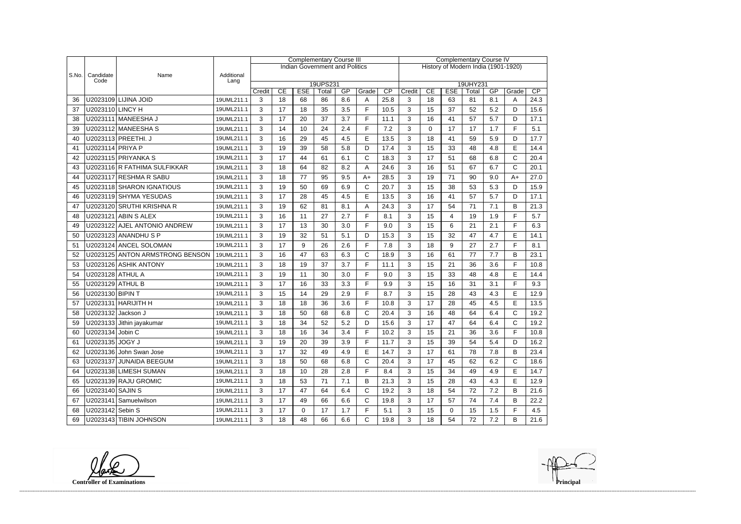|       |                    |                                 |                    | <b>Complementary Course III</b> |                                                                            |             |                                       |     |              | <b>Complementary Course IV</b> |                                     |             |                  |                   |     |              |      |  |
|-------|--------------------|---------------------------------|--------------------|---------------------------------|----------------------------------------------------------------------------|-------------|---------------------------------------|-----|--------------|--------------------------------|-------------------------------------|-------------|------------------|-------------------|-----|--------------|------|--|
|       |                    |                                 |                    |                                 |                                                                            |             | <b>Indian Government and Politics</b> |     |              |                                | History of Modern India (1901-1920) |             |                  |                   |     |              |      |  |
| S.No. | Candidate<br>Code  | Name                            | Additional<br>Lang |                                 |                                                                            |             |                                       |     |              |                                |                                     |             |                  |                   |     |              |      |  |
|       |                    |                                 |                    | Credit                          | 19UPS231<br>CE<br><b>ESE</b><br>GP<br>CP<br>CE<br>Grade<br>Credit<br>Total |             |                                       |     |              |                                |                                     |             |                  | 19UHY231<br>Total | GP  | Grade        | CP   |  |
| 36    |                    | U2023109 LIJINA JOID            | 19UML211.1         | 3                               | 18                                                                         | 68          | 86                                    | 8.6 | Α            | 25.8                           | 3                                   | 18          | <b>ESE</b><br>63 | 81                | 8.1 | A            | 24.3 |  |
| 37    | U2023110 LINCY H   |                                 | 19UML211.1         | 3                               | 17                                                                         | 18          | 35                                    | 3.5 | F.           | 10.5                           | 3                                   | 15          | 37               | 52                | 5.2 | D            | 15.6 |  |
| 38    |                    | U2023111   MANEESHA J           | 19UML211.1         | 3                               | 17                                                                         | 20          | 37                                    | 3.7 | F.           | 11.1                           | 3                                   | 16          | 41               | 57                | 5.7 | D            | 17.1 |  |
| 39    |                    | U2023112 MANEESHA S             | 19UML211.1         | 3                               | 14                                                                         | 10          | 24                                    | 2.4 | F.           | 7.2                            | 3                                   | $\mathbf 0$ | 17               | 17                | 1.7 | F.           | 5.1  |  |
| 40    |                    | U2023113 PREETHI. J             | 19UML211.1         | 3                               | 16                                                                         | 29          | 45                                    | 4.5 | E            | 13.5                           | 3                                   | 18          | 41               | 59                | 5.9 | D            | 17.7 |  |
| 41    | U2023114 PRIYA P   |                                 | 19UML211.1         | 3                               | 19                                                                         | 39          | 58                                    | 5.8 | D            | 17.4                           | 3                                   | 15          | 33               | 48                | 4.8 | E            | 14.4 |  |
| 42    |                    | U2023115 PRIYANKA S             | 19UML211.1         | 3                               | 17                                                                         | 44          | 61                                    | 6.1 | $\mathsf{C}$ | 18.3                           | 3                                   | 17          | 51               | 68                | 6.8 | $\mathsf{C}$ | 20.4 |  |
| 43    |                    | U2023116 R FATHIMA SULFIKKAR    | 19UML211.1         | 3                               | 18                                                                         | 64          | 82                                    | 8.2 | А            | 24.6                           | 3                                   | 16          | 51               | 67                | 6.7 | $\mathsf{C}$ | 20.1 |  |
| 44    |                    | U2023117 RESHMA R SABU          | 19UML211.1         | 3                               | 18                                                                         | 77          | 95                                    | 9.5 | $A+$         | 28.5                           | 3                                   | 19          | 71               | 90                | 9.0 | $A+$         | 27.0 |  |
| 45    |                    | U2023118 SHARON IGNATIOUS       | 19UML211.1         | 3                               | 19                                                                         | 50          | 69                                    | 6.9 | C            | 20.7                           | 3                                   | 15          | 38               | 53                | 5.3 | D            | 15.9 |  |
| 46    |                    | U2023119 SHYMA YESUDAS          | 19UML211.1         | 3                               | 17                                                                         | 28          | 45                                    | 4.5 | E            | 13.5                           | 3                                   | 16          | 41               | 57                | 5.7 | D            | 17.1 |  |
| 47    |                    | U2023120 SRUTHI KRISHNA R       | 19UML211.1         | 3                               | 19                                                                         | 62          | 81                                    | 8.1 | A            | 24.3                           | 3                                   | 17          | 54               | 71                | 7.1 | B            | 21.3 |  |
| 48    |                    | U2023121 ABIN S ALEX            | 19UML211.1         | 3                               | 16                                                                         | 11          | 27                                    | 2.7 | F            | 8.1                            | 3                                   | 15          | 4                | 19                | 1.9 | F            | 5.7  |  |
| 49    |                    | U2023122 AJEL ANTONIO ANDREW    | 19UML211.1         | 3                               | 17                                                                         | 13          | 30                                    | 3.0 | F.           | 9.0                            | 3                                   | 15          | 6                | 21                | 2.1 | F.           | 6.3  |  |
| 50    |                    | U2023123 ANANDHU S P            | 19UML211.1         | 3                               | 19                                                                         | 32          | 51                                    | 5.1 | D            | 15.3                           | 3                                   | 15          | 32               | 47                | 4.7 | E            | 14.1 |  |
| 51    |                    | U2023124 ANCEL SOLOMAN          | 19UML211.1         | 3                               | 17                                                                         | 9           | 26                                    | 2.6 | F            | 7.8                            | 3                                   | 18          | 9                | 27                | 2.7 | F            | 8.1  |  |
| 52    |                    | U2023125 ANTON ARMSTRONG BENSON | 19UML211.1         | 3                               | 16                                                                         | 47          | 63                                    | 6.3 | $\mathsf{C}$ | 18.9                           | 3                                   | 16          | 61               | 77                | 7.7 | B            | 23.1 |  |
| 53    |                    | U2023126 ASHIK ANTONY           | 19UML211.1         | 3                               | 18                                                                         | 19          | 37                                    | 3.7 | F.           | 11.1                           | 3                                   | 15          | 21               | 36                | 3.6 | F            | 10.8 |  |
| 54    | U2023128 ATHUL A   |                                 | 19UML211.1         | 3                               | 19                                                                         | 11          | 30                                    | 3.0 | F.           | 9.0                            | 3                                   | 15          | 33               | 48                | 4.8 | E            | 14.4 |  |
| 55    | U2023129 ATHUL B   |                                 | 19UML211.1         | 3                               | 17                                                                         | 16          | 33                                    | 3.3 | F.           | 9.9                            | 3                                   | 15          | 16               | 31                | 3.1 | F            | 9.3  |  |
| 56    | U2023130 BIPIN T   |                                 | 19UML211.1         | 3                               | 15                                                                         | 14          | 29                                    | 2.9 | F            | 8.7                            | 3                                   | 15          | 28               | 43                | 4.3 | E            | 12.9 |  |
| 57    |                    | U2023131   HARIJITH H           | 19UML211.1         | 3                               | 18                                                                         | 18          | 36                                    | 3.6 | F.           | 10.8                           | 3                                   | 17          | 28               | 45                | 4.5 | E            | 13.5 |  |
| 58    | U2023132 Jackson J |                                 | 19UML211.1         | 3                               | 18                                                                         | 50          | 68                                    | 6.8 | C            | 20.4                           | 3                                   | 16          | 48               | 64                | 6.4 | C            | 19.2 |  |
| 59    |                    | U2023133 Jithin jayakumar       | 19UML211.1         | 3                               | 18                                                                         | 34          | 52                                    | 5.2 | D            | 15.6                           | 3                                   | 17          | 47               | 64                | 6.4 | $\mathsf{C}$ | 19.2 |  |
| 60    | U2023134 Jobin C   |                                 | 19UML211.1         | 3                               | 18                                                                         | 16          | 34                                    | 3.4 | Е            | 10.2                           | 3                                   | 15          | 21               | 36                | 3.6 | F            | 10.8 |  |
| 61    | U2023135 JOGY J    |                                 | 19UML211.1         | 3                               | 19                                                                         | 20          | 39                                    | 3.9 | F            | 11.7                           | 3                                   | 15          | 39               | 54                | 5.4 | D            | 16.2 |  |
| 62    |                    | U2023136 John Swan Jose         | 19UML211.1         | 3                               | 17                                                                         | 32          | 49                                    | 4.9 | E            | 14.7                           | 3                                   | 17          | 61               | 78                | 7.8 | B            | 23.4 |  |
| 63    |                    | U2023137 JUNAIDA BEEGUM         | 19UML211.1         | 3                               | 18                                                                         | 50          | 68                                    | 6.8 | C            | 20.4                           | 3                                   | 17          | 45               | 62                | 6.2 | C            | 18.6 |  |
| 64    |                    | U2023138 LIMESH SUMAN           | 19UML211.1         | 3                               | 18                                                                         | 10          | 28                                    | 2.8 | F            | 8.4                            | 3                                   | 15          | 34               | 49                | 4.9 | E            | 14.7 |  |
| 65    |                    | U2023139 RAJU GROMIC            | 19UML211.1         | 3                               | 18                                                                         | 53          | 71                                    | 7.1 | В            | 21.3                           | 3                                   | 15          | 28               | 43                | 4.3 | E            | 12.9 |  |
| 66    | U2023140 SAJIN S   |                                 | 19UML211.1         | 3                               | 17                                                                         | 47          | 64                                    | 6.4 | $\mathsf C$  | 19.2                           | 3                                   | 18          | 54               | 72                | 7.2 | B            | 21.6 |  |
| 67    |                    | U2023141 Samuelwilson           | 19UML211.1         | 3                               | 17                                                                         | 49          | 66                                    | 6.6 | C            | 19.8                           | 3                                   | 17          | 57               | 74                | 7.4 | B            | 22.2 |  |
| 68    | U2023142 Sebin S   |                                 | 19UML211.1         | 3                               | 17                                                                         | $\mathbf 0$ | 17                                    | 1.7 | F.           | 5.1                            | 3                                   | 15          | $\mathbf 0$      | 15                | 1.5 | F            | 4.5  |  |
| 69    |                    | U2023143 TIBIN JOHNSON          | 19UML211.1         | 3                               | 18                                                                         | 48          | 66                                    | 6.6 | $\mathsf{C}$ | 19.8                           | 3                                   | 18          | 54               | 72                | 7.2 | В            | 21.6 |  |

**Controller of Examinations Principal**

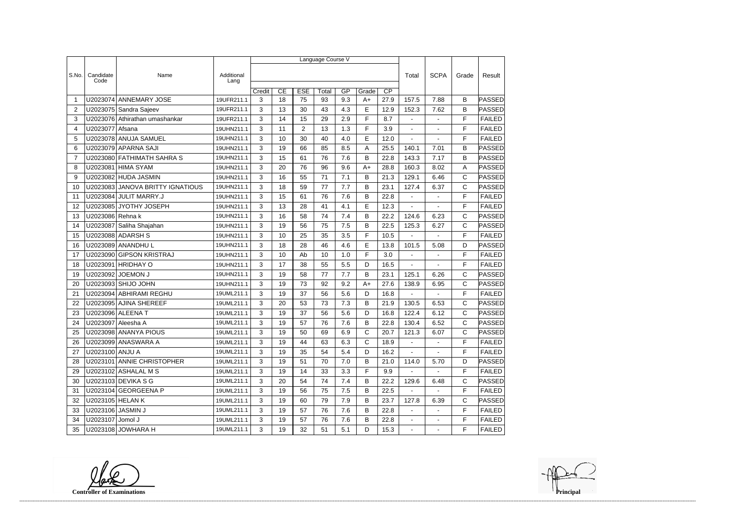|                |                    |                                  |                    | Language Course V |    |                |       |     |                 |      |                          |                |              |               |
|----------------|--------------------|----------------------------------|--------------------|-------------------|----|----------------|-------|-----|-----------------|------|--------------------------|----------------|--------------|---------------|
|                |                    |                                  |                    |                   |    |                |       |     |                 |      |                          |                |              |               |
| S.No.          | Candidate<br>Code  | Name                             | Additional<br>Lang |                   |    |                |       |     |                 |      | Total                    | <b>SCPA</b>    | Grade        | Result        |
|                |                    |                                  |                    | Credit            | CE | <b>ESE</b>     | Total | GP  | $\overline{CP}$ |      |                          |                |              |               |
| -1             |                    | U2023074 ANNEMARY JOSE           | 19UFR211.1         | 3                 | 18 | 75             | 93    | 9.3 | Grade<br>$A+$   | 27.9 | 157.5                    | 7.88           | B            | PASSED        |
| $\overline{2}$ |                    | U2023075 Sandra Sajeev           | 19UFR211.1         | 3                 | 13 | 30             | 43    | 4.3 | E               | 12.9 | 152.3                    | 7.62           | B            | <b>PASSED</b> |
| 3              |                    | U2023076 Athirathan umashankar   | 19UFR211.1         | 3                 | 14 | 15             | 29    | 2.9 | F               | 8.7  | $\overline{\phantom{a}}$ |                | F            | <b>FAILED</b> |
| 4              | U2023077           | Afsana                           | 19UHN211.1         | 3                 | 11 | $\overline{2}$ | 13    | 1.3 | F               | 3.9  |                          |                | F            | <b>FAILED</b> |
| 5              |                    | U2023078 ANUJA SAMUEL            | 19UHN211.1         | 3                 | 10 | 30             | 40    | 4.0 | E               | 12.0 | $\blacksquare$           | $\sim$         | F            | <b>FAILED</b> |
| 6              |                    | U2023079 APARNA SAJI             | 19UHN211.1         | 3                 | 19 | 66             | 85    | 8.5 | А               | 25.5 | 140.1                    | 7.01           | B            | PASSED        |
| $\overline{7}$ |                    | U2023080 FATHIMATH SAHRA S       | 19UHN211.1         | 3                 | 15 | 61             | 76    | 7.6 | B               | 22.8 | 143.3                    | 7.17           | B            | <b>PASSED</b> |
| 8              | U2023081           | <b>HIMA SYAM</b>                 | 19UHN211.1         | 3                 | 20 | 76             | 96    | 9.6 | $A+$            | 28.8 | 160.3                    | 8.02           | A            | <b>PASSED</b> |
| 9              |                    | U2023082 HUDA JASMIN             | 19UHN211.1         | 3                 | 16 | 55             | 71    | 7.1 | B               | 21.3 | 129.1                    | 6.46           | $\mathsf C$  | PASSED        |
| 10             |                    | U2023083 JANOVA BRITTY IGNATIOUS | 19UHN211.1         | 3                 | 18 | 59             | 77    | 7.7 | B               | 23.1 | 127.4                    | 6.37           | $\mathsf{C}$ | PASSED        |
| 11             |                    | U2023084 JULIT MARRY.J           | 19UHN211.1         | 3                 | 15 | 61             | 76    | 7.6 | B               | 22.8 |                          |                | F            | <b>FAILED</b> |
| 12             |                    | U2023085 JYOTHY JOSEPH           | 19UHN211.1         | 3                 | 13 | 28             | 41    | 4.1 | E               | 12.3 | $\blacksquare$           | $\overline{a}$ | F            | <b>FAILED</b> |
| 13             | U2023086 Rehna k   |                                  | 19UHN211.1         | 3                 | 16 | 58             | 74    | 7.4 | В               | 22.2 | 124.6                    | 6.23           | C            | PASSED        |
| 14             | U2023087           | Saliha Shajahan                  | 19UHN211.1         | 3                 | 19 | 56             | 75    | 7.5 | B               | 22.5 | 125.3                    | 6.27           | $\mathsf{C}$ | PASSED        |
| 15             |                    | U2023088 ADARSH S                | 19UHN211.1         | 3                 | 10 | 25             | 35    | 3.5 | F               | 10.5 | ä,                       | $\blacksquare$ | F            | <b>FAILED</b> |
| 16             |                    | U2023089 ANANDHU L               | 19UHN211.1         | 3                 | 18 | 28             | 46    | 4.6 | E               | 13.8 | 101.5                    | 5.08           | D            | PASSED        |
| 17             |                    | U2023090 GIPSON KRISTRAJ         | 19UHN211.1         | 3                 | 10 | Ab             | 10    | 1.0 | F               | 3.0  | $\blacksquare$           |                | F            | <b>FAILED</b> |
| 18             | U2023091           | <b>HRIDHAY O</b>                 | 19UHN211.1         | 3                 | 17 | 38             | 55    | 5.5 | D               | 16.5 | $\overline{\phantom{a}}$ |                | F            | <b>FAILED</b> |
| 19             |                    | U2023092 JOEMON J                | 19UHN211.1         | 3                 | 19 | 58             | 77    | 7.7 | B               | 23.1 | 125.1                    | 6.26           | $\mathsf C$  | PASSED        |
| 20             |                    | U2023093 SHIJO JOHN              | 19UHN211.1         | 3                 | 19 | 73             | 92    | 9.2 | $A+$            | 27.6 | 138.9                    | 6.95           | $\mathsf{C}$ | PASSED        |
| 21             |                    | U2023094 ABHIRAMI REGHU          | 19UML211.1         | 3                 | 19 | 37             | 56    | 5.6 | D               | 16.8 |                          |                | F            | <b>FAILED</b> |
| 22             |                    | U2023095 AJINA SHEREEF           | 19UML211.1         | 3                 | 20 | 53             | 73    | 7.3 | B               | 21.9 | 130.5                    | 6.53           | $\mathsf{C}$ | PASSED        |
| 23             |                    | U2023096 ALEENA T                | 19UML211.1         | 3                 | 19 | 37             | 56    | 5.6 | D               | 16.8 | 122.4                    | 6.12           | $\mathsf{C}$ | PASSED        |
| 24             | U2023097 Aleesha A |                                  | 19UML211.1         | 3                 | 19 | 57             | 76    | 7.6 | B               | 22.8 | 130.4                    | 6.52           | $\mathsf{C}$ | <b>PASSED</b> |
| 25             |                    | U2023098 ANANYA PIOUS            | 19UML211.1         | 3                 | 19 | 50             | 69    | 6.9 | C               | 20.7 | 121.3                    | 6.07           | С            | <b>PASSED</b> |
| 26             |                    | U2023099 ANASWARA A              | 19UML211.1         | 3                 | 19 | 44             | 63    | 6.3 | C               | 18.9 |                          |                | F            | <b>FAILED</b> |
| 27             | U2023100 ANJU A    |                                  | 19UML211.1         | 3                 | 19 | 35             | 54    | 5.4 | D               | 16.2 | $\sim$                   | $\blacksquare$ | F            | <b>FAILED</b> |
| 28             |                    | U2023101 ANNIE CHRISTOPHER       | 19UML211.1         | 3                 | 19 | 51             | 70    | 7.0 | B               | 21.0 | 114.0                    | 5.70           | D            | PASSED        |
| 29             |                    | U2023102 ASHALAL M S             | 19UML211.1         | 3                 | 19 | 14             | 33    | 3.3 | F               | 9.9  |                          |                | F            | <b>FAILED</b> |
| 30             |                    | U2023103 DEVIKA S G              | 19UML211.1         | 3                 | 20 | 54             | 74    | 7.4 | B               | 22.2 | 129.6                    | 6.48           | C            | PASSED        |
| 31             |                    | U2023104 GEORGEENA P             | 19UML211.1         | 3                 | 19 | 56             | 75    | 7.5 | B               | 22.5 |                          |                | F            | <b>FAILED</b> |
| 32             | U2023105 HELAN K   |                                  | 19UML211.1         | 3                 | 19 | 60             | 79    | 7.9 | B               | 23.7 | 127.8                    | 6.39           | $\mathsf{C}$ | PASSED        |
| 33             | U2023106 JASMIN J  |                                  | 19UML211.1         | 3                 | 19 | 57             | 76    | 7.6 | B               | 22.8 | $\sim$                   | $\sim$         | F            | <b>FAILED</b> |
| 34             | U2023107 Jomol J   |                                  | 19UML211.1         | 3                 | 19 | 57             | 76    | 7.6 | B               | 22.8 | $\sim$                   | $\blacksquare$ | F            | <b>FAILED</b> |
| 35             |                    | U2023108 JOWHARA H               | 19UML211.1         | $\mathbf{3}$      | 19 | 32             | 51    | 5.1 | D               | 15.3 | $\sim$                   | $\blacksquare$ | F            | FAILED        |

**Controller of Examinations**